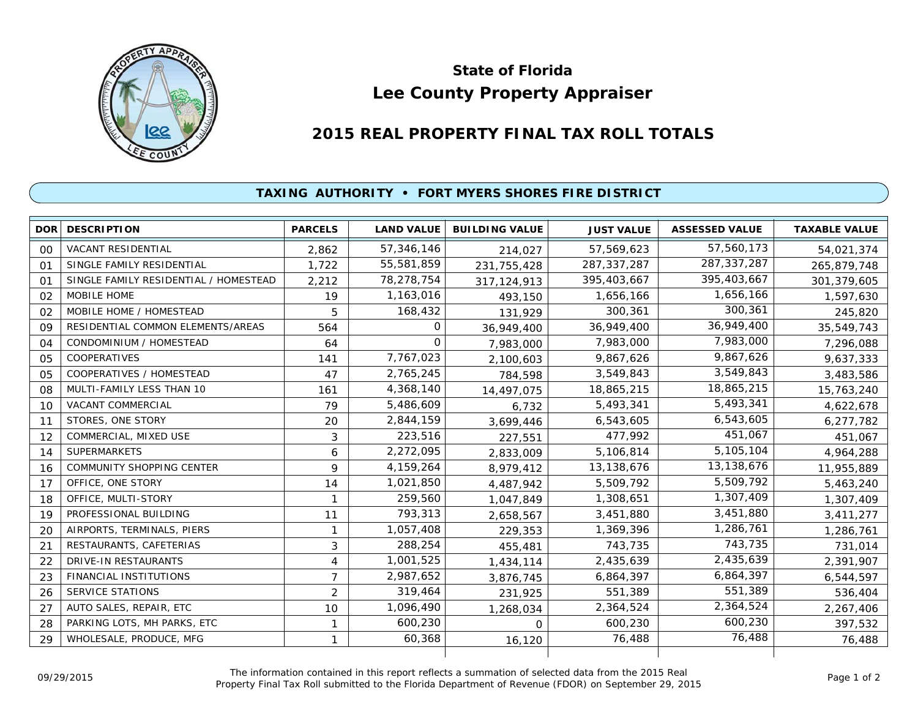

## **Lee County Property Appraiser State of Florida**

## **2015 REAL PROPERTY FINAL TAX ROLL TOTALS**

## **TAXING AUTHORITY • FORT MYERS SHORES FIRE DISTRICT**

| <b>DOR</b> | <b>DESCRIPTION</b>                    | <b>PARCELS</b> | <b>LAND VALUE</b> | <b>BUILDING VALUE</b> | <b>JUST VALUE</b> | <b>ASSESSED VALUE</b> | <b>TAXABLE VALUE</b> |
|------------|---------------------------------------|----------------|-------------------|-----------------------|-------------------|-----------------------|----------------------|
| 00         | VACANT RESIDENTIAL                    | 2.862          | 57,346,146        | 214,027               | 57,569,623        | 57,560,173            | 54,021,374           |
| 01         | SINGLE FAMILY RESIDENTIAL             | 1.722          | 55,581,859        | 231,755,428           | 287, 337, 287     | 287, 337, 287         | 265,879,748          |
| 01         | SINGLE FAMILY RESIDENTIAL / HOMESTEAD | 2,212          | 78,278,754        | 317, 124, 913         | 395,403,667       | 395,403,667           | 301,379,605          |
| 02         | MOBILE HOME                           | 19             | 1,163,016         | 493,150               | 1,656,166         | 1,656,166             | 1,597,630            |
| 02         | MOBILE HOME / HOMESTEAD               | 5              | 168,432           | 131,929               | 300,361           | 300,361               | 245,820              |
| 09         | RESIDENTIAL COMMON ELEMENTS/AREAS     | 564            | 0                 | 36,949,400            | 36,949,400        | 36,949,400            | 35,549,743           |
| 04         | CONDOMINIUM / HOMESTEAD               | 64             | $\Omega$          | 7,983,000             | 7,983,000         | 7,983,000             | 7,296,088            |
| 05         | COOPERATIVES                          | 141            | 7,767,023         | 2,100,603             | 9,867,626         | 9,867,626             | 9,637,333            |
| 05         | COOPERATIVES / HOMESTEAD              | 47             | 2,765,245         | 784,598               | 3,549,843         | 3,549,843             | 3,483,586            |
| 08         | MULTI-FAMILY LESS THAN 10             | 161            | 4,368,140         | 14,497,075            | 18,865,215        | 18,865,215            | 15,763,240           |
| 10         | <b>VACANT COMMERCIAL</b>              | 79             | 5,486,609         | 6,732                 | 5,493,341         | 5,493,341             | 4,622,678            |
| 11         | STORES, ONE STORY                     | 20             | 2,844,159         | 3,699,446             | 6,543,605         | 6,543,605             | 6,277,782            |
| 12         | COMMERCIAL, MIXED USE                 | 3              | 223,516           | 227,551               | 477,992           | 451.067               | 451,067              |
| 14         | <b>SUPERMARKETS</b>                   | 6              | 2,272,095         | 2,833,009             | 5,106,814         | 5,105,104             | 4,964,288            |
| 16         | <b>COMMUNITY SHOPPING CENTER</b>      | 9              | 4,159,264         | 8,979,412             | 13,138,676        | 13,138,676            | 11,955,889           |
| 17         | OFFICE, ONE STORY                     | 14             | 1,021,850         | 4,487,942             | 5,509,792         | 5,509,792             | 5,463,240            |
| 18         | OFFICE, MULTI-STORY                   | $\mathbf{1}$   | 259,560           | 1,047,849             | 1,308,651         | 1,307,409             | 1,307,409            |
| 19         | PROFESSIONAL BUILDING                 | 11             | 793,313           | 2,658,567             | 3,451,880         | 3,451,880             | 3,411,277            |
| 20         | AIRPORTS, TERMINALS, PIERS            | 1              | 1,057,408         | 229,353               | 1,369,396         | 1,286,761             | 1,286,761            |
| 21         | RESTAURANTS, CAFETERIAS               | 3              | 288,254           | 455,481               | 743,735           | 743,735               | 731,014              |
| 22         | <b>DRIVE-IN RESTAURANTS</b>           | 4              | 1,001,525         | 1,434,114             | 2,435,639         | 2,435,639             | 2,391,907            |
| 23         | FINANCIAL INSTITUTIONS                | 7              | 2,987,652         | 3,876,745             | 6,864,397         | 6,864,397             | 6,544,597            |
| 26         | <b>SERVICE STATIONS</b>               | $\overline{2}$ | 319,464           | 231,925               | 551,389           | 551,389               | 536,404              |
| 27         | AUTO SALES, REPAIR, ETC               | 10             | 1,096,490         | 1,268,034             | 2,364,524         | 2,364,524             | 2,267,406            |
| 28         | PARKING LOTS, MH PARKS, ETC           | 1              | 600,230           | 0                     | 600,230           | 600,230               | 397,532              |
| 29         | WHOLESALE, PRODUCE, MFG               | 1              | 60,368            | 16,120                | 76,488            | 76,488                | 76,488               |
|            |                                       |                |                   |                       |                   |                       |                      |

The information contained in this report reflects a summation of selected data from the 2015 Real Ine information contained in this report reflects a summation of selected data from the 2015 Real<br>Property Final Tax Roll submitted to the Florida Department of Revenue (FDOR) on September 29, 2015